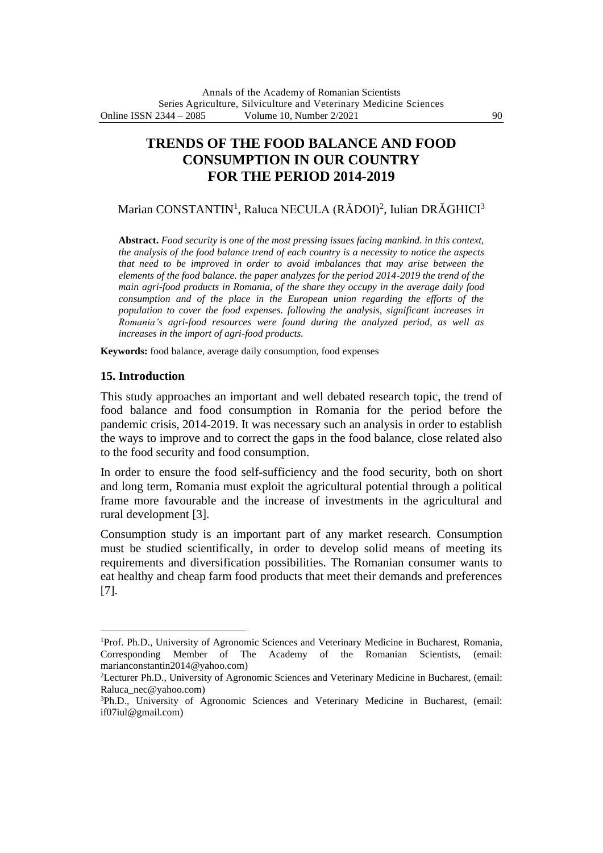# **TRENDS OF THE FOOD BALANCE AND FOOD CONSUMPTION IN OUR COUNTRY FOR THE PERIOD 2014-2019**

Marian CONSTANTIN<sup>1</sup>, Raluca NECULA (RĂDOI)<sup>2</sup>, Iulian DRĂGHICI<sup>3</sup>

**Abstract.** *Food security is one of the most pressing issues facing mankind. in this context, the analysis of the food balance trend of each country is a necessity to notice the aspects that need to be improved in order to avoid imbalances that may arise between the elements of the food balance. the paper analyzes for the period 2014-2019 the trend of the main agri-food products in Romania, of the share they occupy in the average daily food consumption and of the place in the European union regarding the efforts of the population to cover the food expenses. following the analysis, significant increases in Romania's agri-food resources were found during the analyzed period, as well as increases in the import of agri-food products.*

**Keywords:** food balance, average daily consumption, food expenses

#### **15. Introduction**

This study approaches an important and well debated research topic, the trend of food balance and food consumption in Romania for the period before the pandemic crisis, 2014-2019. It was necessary such an analysis in order to establish the ways to improve and to correct the gaps in the food balance, close related also to the food security and food consumption.

In order to ensure the food self-sufficiency and the food security, both on short and long term, Romania must exploit the agricultural potential through a political frame more favourable and the increase of investments in the agricultural and rural development [3].

Consumption study is an important part of any market research. Consumption must be studied scientifically, in order to develop solid means of meeting its requirements and diversification possibilities. The Romanian consumer wants to eat healthy and cheap farm food products that meet their demands and preferences [7].

<sup>&</sup>lt;sup>1</sup>Prof. Ph.D., University of Agronomic Sciences and Veterinary Medicine in Bucharest, Romania, Corresponding Member of The Academy of the Romanian Scientists, (email: marianconstantin2014@yahoo.com)

<sup>2</sup>Lecturer Ph.D., University of Agronomic Sciences and Veterinary Medicine in Bucharest, (email: Raluca\_nec@yahoo.com)

<sup>3</sup>Ph.D., University of Agronomic Sciences and Veterinary Medicine in Bucharest, (email: if07iul@gmail.com)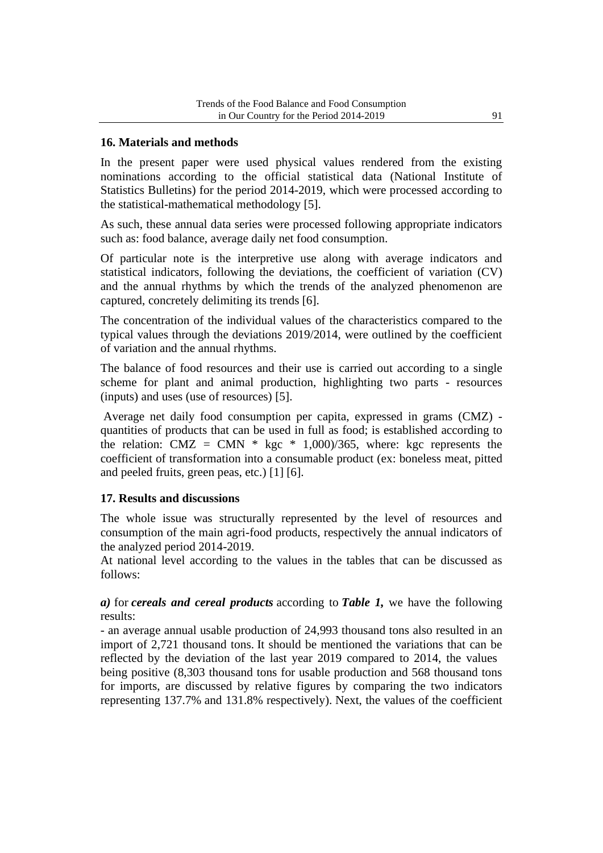### **16. Materials and methods**

In the present paper were used physical values rendered from the existing nominations according to the official statistical data (National Institute of Statistics Bulletins) for the period 2014-2019, which were processed according to the statistical-mathematical methodology [5].

As such, these annual data series were processed following appropriate indicators such as: food balance, average daily net food consumption.

Of particular note is the interpretive use along with average indicators and statistical indicators, following the deviations, the coefficient of variation (CV) and the annual rhythms by which the trends of the analyzed phenomenon are captured, concretely delimiting its trends [6].

The concentration of the individual values of the characteristics compared to the typical values through the deviations 2019/2014, were outlined by the coefficient of variation and the annual rhythms.

The balance of food resources and their use is carried out according to a single scheme for plant and animal production, highlighting two parts - resources (inputs) and uses (use of resources) [5].

Average net daily food consumption per capita, expressed in grams (CMZ) quantities of products that can be used in full as food; is established according to the relation: CMZ = CMN  $*$  kgc  $*$  1,000)/365, where: kgc represents the coefficient of transformation into a consumable product (ex: boneless meat, pitted and peeled fruits, green peas, etc.) [1] [6].

#### **17. Results and discussions**

The whole issue was structurally represented by the level of resources and consumption of the main agri-food products, respectively the annual indicators of the analyzed period 2014-2019.

At national level according to the values in the tables that can be discussed as follows:

*a)* for *cereals and cereal products* according to *Table 1,* we have the following results:

- an average annual usable production of 24,993 thousand tons also resulted in an import of 2,721 thousand tons. It should be mentioned the variations that can be reflected by the deviation of the last year 2019 compared to 2014, the values being positive (8,303 thousand tons for usable production and 568 thousand tons for imports, are discussed by relative figures by comparing the two indicators representing 137.7% and 131.8% respectively). Next, the values of the coefficient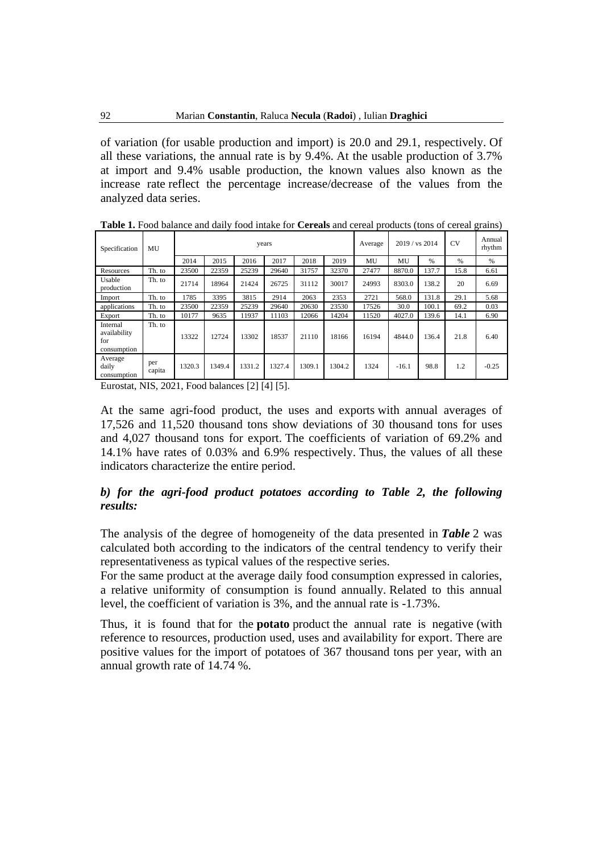of variation (for usable production and import) is 20.0 and 29.1, respectively. Of all these variations, the annual rate is by 9.4%. At the usable production of 3.7% at import and 9.4% usable production, the known values also known as the increase rate reflect the percentage increase/decrease of the values from the analyzed data series.

| Specification                                  | MU            |        |        |        | years  |        |        | Average | 2019 / vs 2014 |               | <b>CV</b> | Annual<br>rhythm |
|------------------------------------------------|---------------|--------|--------|--------|--------|--------|--------|---------|----------------|---------------|-----------|------------------|
|                                                |               | 2014   | 2015   | 2016   | 2017   | 2018   | 2019   | MU      | MU             | $\frac{0}{0}$ | $\%$      | $\%$             |
| Resources                                      | Th. to        | 23500  | 22359  | 25239  | 29640  | 31757  | 32370  | 27477   | 8870.0         | 137.7         | 15.8      | 6.61             |
| Usable<br>production                           | Th. to        | 21714  | 18964  | 21424  | 26725  | 31112  | 30017  | 24993   | 8303.0         | 138.2         | 20        | 6.69             |
| Import                                         | Th. to        | 1785   | 3395   | 3815   | 2914   | 2063   | 2353   | 2721    | 568.0          | 131.8         | 29.1      | 5.68             |
| applications                                   | Th. to        | 23500  | 22359  | 25239  | 29640  | 20630  | 23530  | 17526   | 30.0           | 100.1         | 69.2      | 0.03             |
| Export                                         | Th. to        | 10177  | 9635   | 11937  | 11103  | 12066  | 14204  | 11520   | 4027.0         | 139.6         | 14.1      | 6.90             |
| Internal<br>availability<br>for<br>consumption | Th. to        | 13322  | 12724  | 13302  | 18537  | 21110  | 18166  | 16194   | 4844.0         | 136.4         | 21.8      | 6.40             |
| Average<br>daily<br>consumption                | per<br>capita | 1320.3 | 1349.4 | 1331.2 | 1327.4 | 1309.1 | 1304.2 | 1324    | $-16.1$        | 98.8          | 1.2       | $-0.25$          |

**Table 1.** Food balance and daily food intake for **Cereals** and cereal products (tons of cereal grains)

Eurostat, NIS, 2021, Food balances [2] [4] [5].

At the same agri-food product, the uses and exports with annual averages of 17,526 and 11,520 thousand tons show deviations of 30 thousand tons for uses and 4,027 thousand tons for export. The coefficients of variation of 69.2% and 14.1% have rates of 0.03% and 6.9% respectively. Thus, the values of all these indicators characterize the entire period.

### *b) for the agri-food product potatoes according to Table 2, the following results:*

The analysis of the degree of homogeneity of the data presented in *Table* 2 was calculated both according to the indicators of the central tendency to verify their representativeness as typical values of the respective series.

For the same product at the average daily food consumption expressed in calories, a relative uniformity of consumption is found annually. Related to this annual level, the coefficient of variation is 3%, and the annual rate is -1.73%.

Thus, it is found that for the **potato** product the annual rate is negative (with reference to resources, production used, uses and availability for export. There are positive values for the import of potatoes of 367 thousand tons per year, with an annual growth rate of 14.74 %.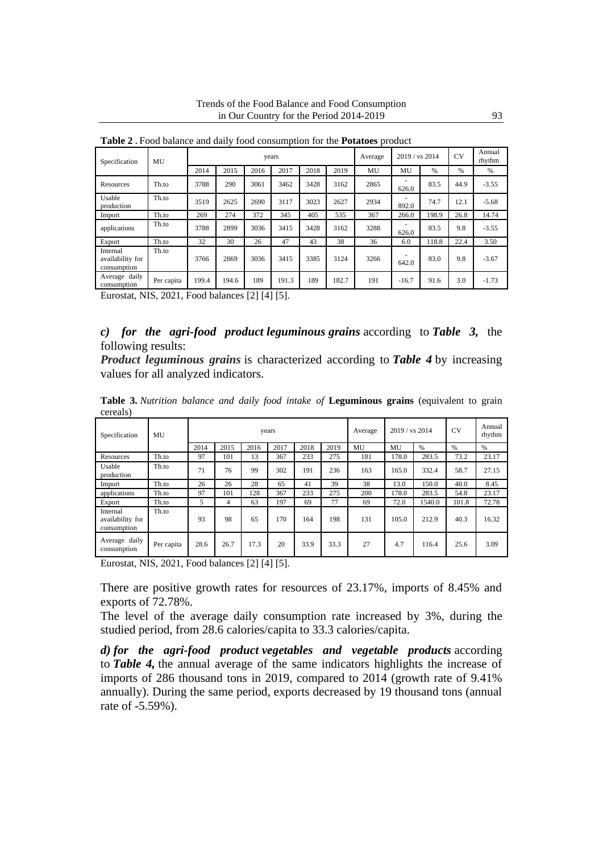| Specification                               | MU         |       |       |      | years |      |       | Average | 2019 / vs 2014 |       | <b>CV</b> | Annual<br>rhythm |
|---------------------------------------------|------------|-------|-------|------|-------|------|-------|---------|----------------|-------|-----------|------------------|
|                                             |            | 2014  | 2015  | 2016 | 2017  | 2018 | 2019  | MU      | MU             | $\%$  | %         | %                |
| Resources                                   | Th.to      | 3788  | 290   | 3061 | 3462  | 3428 | 3162  | 2865    | 626.0          | 83.5  | 44.9      | $-3.55$          |
| Usable<br>production                        | Th.to      | 3519  | 2625  | 2690 | 3117  | 3023 | 2627  | 2934    | 892.0          | 74.7  | 12.1      | $-5.68$          |
| Import                                      | Th.to      | 269   | 274   | 372  | 345   | 405  | 535   | 367     | 266.0          | 198.9 | 26.8      | 14.74            |
| applications                                | Th.to      | 3788  | 2899  | 3036 | 3415  | 3428 | 3162  | 3288    | 626.0          | 83.5  | 9.8       | $-3.55$          |
| Export                                      | Th.to      | 32    | 30    | 26   | 47    | 43   | 38    | 36      | 6.0            | 118.8 | 22.4      | 3.50             |
| Internal<br>availability for<br>consumption | Th.to      | 3766  | 2869  | 3036 | 3415  | 3385 | 3124  | 3266    | 642.0          | 83.0  | 9.8       | $-3.67$          |
| Average daily<br>consumption                | Per capita | 199.4 | 194.6 | 189  | 191.3 | 189  | 182.7 | 191     | $-16.7$        | 91.6  | 3.0       | $-1.73$          |

**Table 2 .** Food balance and daily food consumption for the **Potatoes** product

Eurostat, NIS, 2021, Food balances [2] [4] [5].

### *c) for the agri-food product leguminous grains* according to *Table 3,* the following results:

*Product leguminous grains* is characterized according to *Table 4* by increasing values for all analyzed indicators.

**Table 3.** *Nutrition balance and daily food intake of* **Leguminous grains** (equivalent to grain cereals)

| Specification                               | MU         |      |                |      | years |      |      | Average | 2019 / vs 2014 |        | <b>CV</b> | Annual<br>rhythm |
|---------------------------------------------|------------|------|----------------|------|-------|------|------|---------|----------------|--------|-----------|------------------|
|                                             |            | 2014 | 2015           | 2016 | 2017  | 2018 | 2019 | MU      | MU             | $\%$   | $\%$      | $\%$             |
| Resources                                   | Th.to      | 97   | 101            | 13   | 367   | 233  | 275  | 181     | 178.0          | 283.5  | 73.2      | 23.17            |
| Usable<br>production                        | Th.to      | 71   | 76             | 99   | 302   | 191  | 236  | 163     | 165.0          | 332.4  | 58.7      | 27.15            |
| Import                                      | Th.to      | 26   | 26             | 28   | 65    | 41   | 39   | 38      | 13.0           | 150.0  | 40.0      | 8.45             |
| applications                                | Th.to      | 97   | 101            | 128  | 367   | 233  | 275  | 200     | 178.0          | 283.5  | 54.8      | 23.17            |
| Export                                      | Th.to      | 5    | $\overline{4}$ | 63   | 197   | 69   | 77   | 69      | 72.0           | 1540.0 | 101.8     | 72.78            |
| Internal<br>availability for<br>consumption | Th.to      | 93   | 98             | 65   | 170   | 164  | 198  | 131     | 105.0          | 212.9  | 40.3      | 16.32            |
| Average daily<br>consumption                | Per capita | 28.6 | 26.7           | 17.3 | 20    | 33.9 | 33.3 | 27      | 4.7            | 116.4  | 25.6      | 3.09             |

Eurostat, NIS, 2021, Food balances [2] [4] [5].

There are positive growth rates for resources of 23.17%, imports of 8.45% and exports of 72.78%.

The level of the average daily consumption rate increased by 3%, during the studied period, from 28.6 calories/capita to 33.3 calories/capita.

*d) for the agri-food product vegetables and vegetable products* according to *Table 4,* the annual average of the same indicators highlights the increase of imports of 286 thousand tons in 2019, compared to 2014 (growth rate of 9.41% annually). During the same period, exports decreased by 19 thousand tons (annual rate of -5.59%).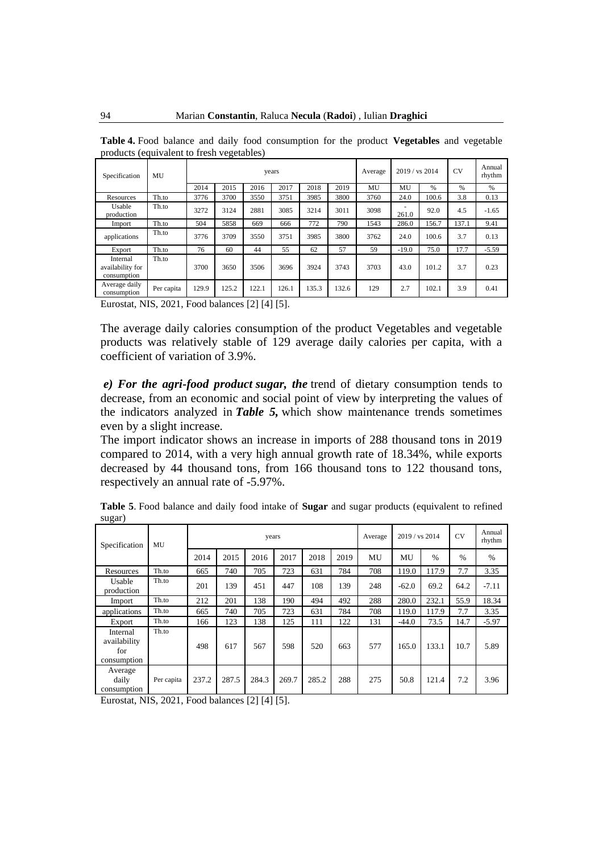| products (equivalent to fresh vegetables)   |            |       |       |       |       |       |       |         |                |       |           |                  |
|---------------------------------------------|------------|-------|-------|-------|-------|-------|-------|---------|----------------|-------|-----------|------------------|
| Specification                               | MU         |       |       |       | years |       |       | Average | 2019 / vs 2014 |       | <b>CV</b> | Annual<br>rhythm |
|                                             |            | 2014  | 2015  | 2016  | 2017  | 2018  | 2019  | MU      | MU             | %     | $\%$      | $\%$             |
| Resources                                   | Th.to      | 3776  | 3700  | 3550  | 3751  | 3985  | 3800  | 3760    | 24.0           | 100.6 | 3.8       | 0.13             |
| Usable<br>production                        | Th.to      | 3272  | 3124  | 2881  | 3085  | 3214  | 3011  | 3098    | 261.0          | 92.0  | 4.5       | $-1.65$          |
| Import                                      | Th.to      | 504   | 5858  | 669   | 666   | 772   | 790   | 1543    | 286.0          | 156.7 | 137.1     | 9.41             |
| applications                                | Th.to      | 3776  | 3709  | 3550  | 3751  | 3985  | 3800  | 3762    | 24.0           | 100.6 | 3.7       | 0.13             |
| Export                                      | Th.to      | 76    | 60    | 44    | 55    | 62    | 57    | 59      | $-19.0$        | 75.0  | 17.7      | $-5.59$          |
| Internal<br>availability for<br>consumption | Th.to      | 3700  | 3650  | 3506  | 3696  | 3924  | 3743  | 3703    | 43.0           | 101.2 | 3.7       | 0.23             |
| Average daily<br>consumption                | Per capita | 129.9 | 125.2 | 122.1 | 126.1 | 135.3 | 132.6 | 129     | 2.7            | 102.1 | 3.9       | 0.41             |

**Table 4.** Food balance and daily food consumption for the product **Vegetables** and vegetable products (equivalent to fresh vegetables)

Eurostat, NIS, 2021, Food balances [2] [4] [5].

The average daily calories consumption of the product Vegetables and vegetable products was relatively stable of 129 average daily calories per capita, with a coefficient of variation of 3.9%.

*e) For the agri-food product sugar, the* trend of dietary consumption tends to decrease, from an economic and social point of view by interpreting the values of the indicators analyzed in *Table 5,* which show maintenance trends sometimes even by a slight increase.

The import indicator shows an increase in imports of 288 thousand tons in 2019 compared to 2014, with a very high annual growth rate of 18.34%, while exports decreased by 44 thousand tons, from 166 thousand tons to 122 thousand tons, respectively an annual rate of -5.97%.

| Specification                                  | MU         |       |       | years |       |       |      | Average | 2019 / vs 2014 |       | <b>CV</b> | Annual<br>rhythm |
|------------------------------------------------|------------|-------|-------|-------|-------|-------|------|---------|----------------|-------|-----------|------------------|
|                                                |            | 2014  | 2015  | 2016  | 2017  | 2018  | 2019 | MU      | MU             | $\%$  | $\%$      | $\%$             |
| Resources                                      | Th.to      | 665   | 740   | 705   | 723   | 631   | 784  | 708     | 119.0          | 117.9 | 7.7       | 3.35             |
| Usable<br>production                           | Th.to      | 201   | 139   | 451   | 447   | 108   | 139  | 248     | $-62.0$        | 69.2  | 64.2      | $-7.11$          |
| Import                                         | Th.to      | 212   | 201   | 138   | 190   | 494   | 492  | 288     | 280.0          | 232.1 | 55.9      | 18.34            |
| applications                                   | Th.to      | 665   | 740   | 705   | 723   | 631   | 784  | 708     | 119.0          | 117.9 | 7.7       | 3.35             |
| Export                                         | Th.to      | 166   | 123   | 138   | 125   | 111   | 122  | 131     | $-44.0$        | 73.5  | 14.7      | $-5.97$          |
| Internal<br>availability<br>for<br>consumption | Th.to      | 498   | 617   | 567   | 598   | 520   | 663  | 577     | 165.0          | 133.1 | 10.7      | 5.89             |
| Average<br>daily<br>consumption                | Per capita | 237.2 | 287.5 | 284.3 | 269.7 | 285.2 | 288  | 275     | 50.8           | 121.4 | 7.2       | 3.96             |

**Table 5**. Food balance and daily food intake of **Sugar** and sugar products (equivalent to refined sugar)

Eurostat, NIS, 2021, Food balances [2] [4] [5].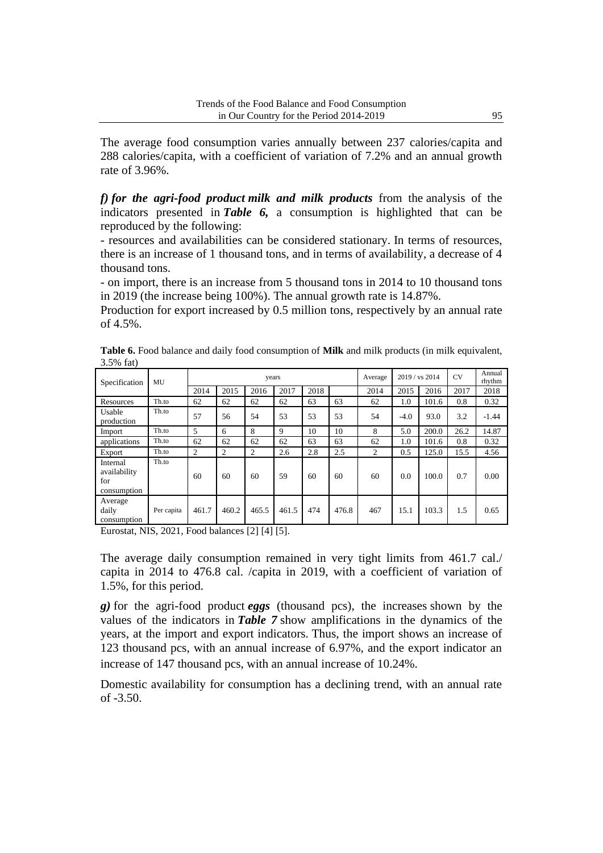The average food consumption varies annually between 237 calories/capita and 288 calories/capita, with a coefficient of variation of 7.2% and an annual growth rate of 3.96%.

*f) for the agri-food product milk and milk products* from the analysis of the indicators presented in *Table 6,* a consumption is highlighted that can be reproduced by the following:

- resources and availabilities can be considered stationary. In terms of resources, there is an increase of 1 thousand tons, and in terms of availability, a decrease of 4 thousand tons.

- on import, there is an increase from 5 thousand tons in 2014 to 10 thousand tons in 2019 (the increase being 100%). The annual growth rate is 14.87%.

Production for export increased by 0.5 million tons, respectively by an annual rate of 4.5%.

| Table 6. Food balance and daily food consumption of Milk and milk products (in milk equivalent, |  |  |  |  |  |
|-------------------------------------------------------------------------------------------------|--|--|--|--|--|
| 3.5% $fat)$                                                                                     |  |  |  |  |  |

| Specification                                  | MU         |       |                | years |       |      |       | Average |        | 2019 / vs 2014 | <b>CV</b> | Annual<br>rhythm |
|------------------------------------------------|------------|-------|----------------|-------|-------|------|-------|---------|--------|----------------|-----------|------------------|
|                                                |            | 2014  | 2015           | 2016  | 2017  | 2018 |       | 2014    | 2015   | 2016           | 2017      | 2018             |
| Resources                                      | Th.to      | 62    | 62             | 62    | 62    | 63   | 63    | 62      | 1.0    | 101.6          | 0.8       | 0.32             |
| Usable<br>production                           | Th.to      | 57    | 56             | 54    | 53    | 53   | 53    | 54      | $-4.0$ | 93.0           | 3.2       | $-1.44$          |
| Import                                         | Th.to      | 5     | 6              | 8     | 9     | 10   | 10    | 8       | 5.0    | 200.0          | 26.2      | 14.87            |
| applications                                   | Th.to      | 62    | 62             | 62    | 62    | 63   | 63    | 62      | 1.0    | 101.6          | 0.8       | 0.32             |
| Export                                         | Th.to      | 2     | $\overline{c}$ | 2     | 2.6   | 2.8  | 2.5   | 2       | 0.5    | 125.0          | 15.5      | 4.56             |
| Internal<br>availability<br>for<br>consumption | Th.to      | 60    | 60             | 60    | 59    | 60   | 60    | 60      | 0.0    | 100.0          | 0.7       | 0.00             |
| Average<br>daily<br>consumption                | Per capita | 461.7 | 460.2          | 465.5 | 461.5 | 474  | 476.8 | 467     | 15.1   | 103.3          | 1.5       | 0.65             |

Eurostat, NIS, 2021, Food balances [2] [4] [5].

The average daily consumption remained in very tight limits from 461.7 cal./ capita in 2014 to 476.8 cal. /capita in 2019, with a coefficient of variation of 1.5%, for this period.

*g)* for the agri-food product *eggs* (thousand pcs), the increases shown by the values of the indicators in *Table 7* show amplifications in the dynamics of the years, at the import and export indicators. Thus, the import shows an increase of 123 thousand pcs, with an annual increase of 6.97%, and the export indicator an increase of 147 thousand pcs, with an annual increase of 10.24%.

Domestic availability for consumption has a declining trend, with an annual rate of -3.50.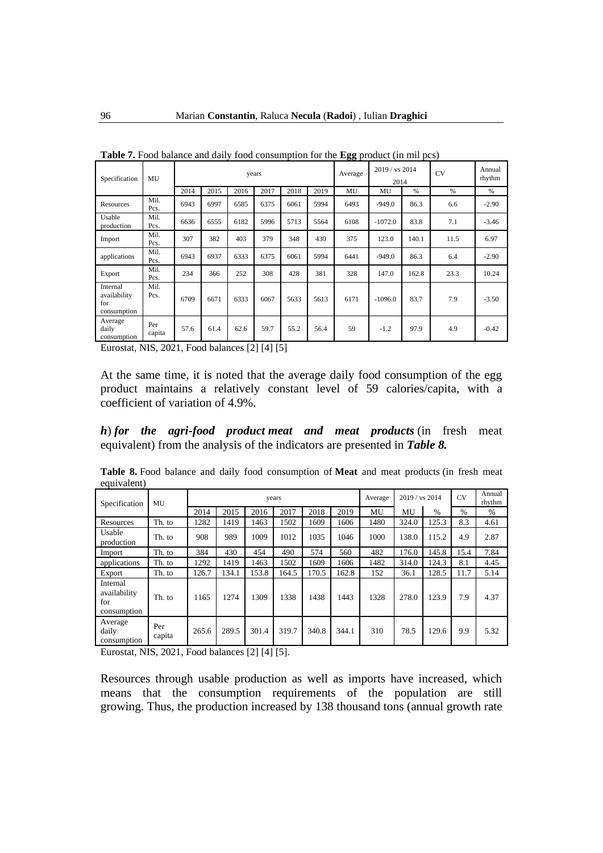| Specification                                  | MU            |      |      |      | years |      |      | oo r<br>Average | 2019 / vs 2014<br>2014 |       | --,<br><b>CV</b> | Annual<br>rhythm |
|------------------------------------------------|---------------|------|------|------|-------|------|------|-----------------|------------------------|-------|------------------|------------------|
|                                                |               | 2014 | 2015 | 2016 | 2017  | 2018 | 2019 | MU              | MU                     | %     | %                | $\frac{9}{6}$    |
| Resources                                      | Mil.<br>Pcs.  | 6943 | 6997 | 6585 | 6375  | 6061 | 5994 | 6493            | $-949.0$               | 86.3  | 6.6              | $-2.90$          |
| Usable<br>production                           | Mil.<br>Pcs.  | 6636 | 6555 | 6182 | 5996  | 5713 | 5564 | 6108            | $-1072.0$              | 83.8  | 7.1              | $-3.46$          |
| Import                                         | Mil.<br>Pcs.  | 307  | 382  | 403  | 379   | 348  | 430  | 375             | 123.0                  | 140.1 | 11.5             | 6.97             |
| applications                                   | Mil.<br>Pcs.  | 6943 | 6937 | 6333 | 6375  | 6061 | 5994 | 6441            | $-949.0$               | 86.3  | 6.4              | $-2.90$          |
| Export                                         | Mil.<br>Pcs.  | 234  | 366  | 252  | 308   | 428  | 381  | 328             | 147.0                  | 162.8 | 23.3             | 10.24            |
| Internal<br>availability<br>for<br>consumption | Mil.<br>Pcs.  | 6709 | 6671 | 6333 | 6067  | 5633 | 5613 | 6171            | $-1096.0$              | 83.7  | 7.9              | $-3.50$          |
| Average<br>daily<br>consumption                | Per<br>capita | 57.6 | 61.4 | 62.6 | 59.7  | 55.2 | 56.4 | 59              | $-1.2$                 | 97.9  | 4.9              | $-0.42$          |

**Table 7.** Food balance and daily food consumption for the **Egg** product (in mil pcs)

Eurostat, NIS, 2021, Food balances [2] [4] [5]

At the same time, it is noted that the average daily food consumption of the egg product maintains a relatively constant level of 59 calories/capita, with a coefficient of variation of 4.9%.

*h*) *for the agri-food product meat and meat products* (in fresh meat equivalent) from the analysis of the indicators are presented in *Table 8.*

**Table 8.** Food balance and daily food consumption of **Meat** and meat products (in fresh meat equivalent)

| Specification                                  | MU            |       |       |       | years |       |       | Average | 2019 / vs 2014 |               | <b>CV</b>     | Annual<br>rhythm |
|------------------------------------------------|---------------|-------|-------|-------|-------|-------|-------|---------|----------------|---------------|---------------|------------------|
|                                                |               | 2014  | 2015  | 2016  | 2017  | 2018  | 2019  | MU      | MU             | $\frac{0}{0}$ | $\frac{0}{0}$ | $\frac{0}{0}$    |
| Resources                                      | Th. to        | 1282  | 1419  | 1463  | 1502  | 1609  | 1606  | 1480    | 324.0          | 125.3         | 8.3           | 4.61             |
| Usable<br>production                           | Th. to        | 908   | 989   | 1009  | 1012  | 1035  | 1046  | 1000    | 138.0          | 115.2         | 4.9           | 2.87             |
| Import                                         | Th. to        | 384   | 430   | 454   | 490   | 574   | 560   | 482     | 176.0          | 145.8         | 15.4          | 7.84             |
| applications                                   | Th. to        | 1292  | 1419  | 1463  | 1502  | 1609  | 1606  | 1482    | 314.0          | 124.3         | 8.1           | 4.45             |
| Export                                         | Th. to        | 126.7 | 134.1 | 53.8  | 164.5 | 170.5 | 162.8 | 152     | 36.1           | 128.5         | 11.7          | 5.14             |
| Internal<br>availability<br>for<br>consumption | Th. to        | 1165  | 1274  | 1309  | 1338  | 1438  | 1443  | 1328    | 278.0          | 123.9         | 7.9           | 4.37             |
| Average<br>daily<br>consumption                | Per<br>capita | 265.6 | 289.5 | 301.4 | 319.7 | 340.8 | 344.1 | 310     | 78.5           | 129.6         | 9.9           | 5.32             |

Eurostat, NIS, 2021, Food balances [2] [4] [5].

Resources through usable production as well as imports have increased, which means that the consumption requirements of the population are still growing. Thus, the production increased by 138 thousand tons (annual growth rate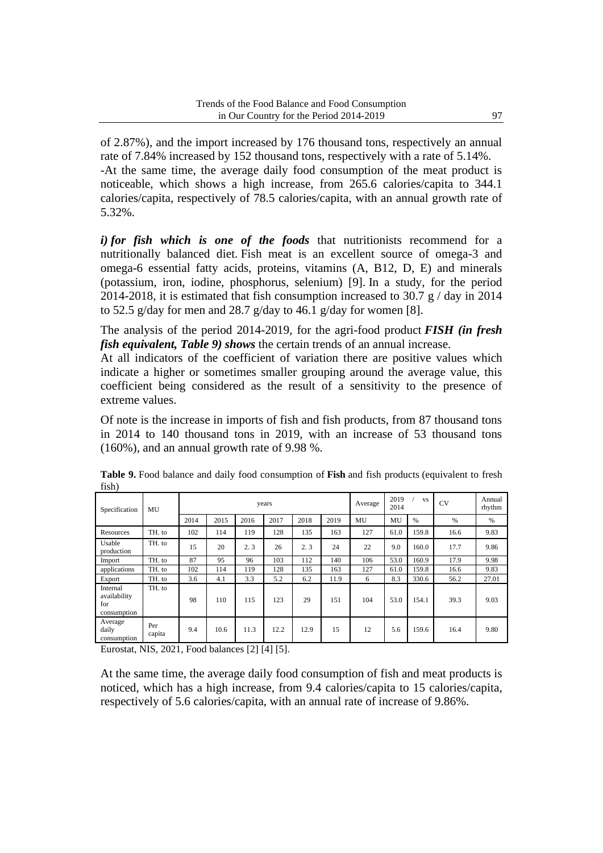of 2.87%), and the import increased by 176 thousand tons, respectively an annual rate of 7.84% increased by 152 thousand tons, respectively with a rate of 5.14%. -At the same time, the average daily food consumption of the meat product is noticeable, which shows a high increase, from 265.6 calories/capita to 344.1 calories/capita, respectively of 78.5 calories/capita, with an annual growth rate of 5.32%.

*i) for fish which is one of the foods* that nutritionists recommend for a nutritionally balanced diet. Fish meat is an excellent source of omega-3 and omega-6 essential fatty acids, proteins, vitamins (A, B12, D, E) and minerals (potassium, iron, iodine, phosphorus, selenium) [9]. In a study, for the period 2014-2018, it is estimated that fish consumption increased to 30.7  $g / day$  in 2014 to 52.5 g/day for men and 28.7 g/day to 46.1 g/day for women [8].

The analysis of the period 2014-2019, for the agri-food product *FISH (in fresh fish equivalent, Table 9) shows* the certain trends of an annual increase.

At all indicators of the coefficient of variation there are positive values which indicate a higher or sometimes smaller grouping around the average value, this coefficient being considered as the result of a sensitivity to the presence of extreme values.

Of note is the increase in imports of fish and fish products, from 87 thousand tons in 2014 to 140 thousand tons in 2019, with an increase of 53 thousand tons (160%), and an annual growth rate of 9.98 %.

| Specification                                  | MU            |      |      |      | years |      |      | Average | 2019<br>2014 | <b>VS</b> | <b>CV</b> | Annual<br>rhythm |
|------------------------------------------------|---------------|------|------|------|-------|------|------|---------|--------------|-----------|-----------|------------------|
|                                                |               | 2014 | 2015 | 2016 | 2017  | 2018 | 2019 | MU      | MU           | %         | %         | %                |
| Resources                                      | TH. to        | 102  | 114  | 119  | 128   | 135  | 163  | 127     | 61.0         | 159.8     | 16.6      | 9.83             |
| Usable<br>production                           | TH. to        | 15   | 20   | 2.3  | 26    | 2.3  | 24   | 22      | 9.0          | 160.0     | 17.7      | 9.86             |
| Import                                         | TH. to        | 87   | 95   | 96   | 103   | 112  | 140  | 106     | 53.0         | 160.9     | 17.9      | 9.98             |
| applications                                   | TH. to        | 102  | 114  | 119  | 128   | 135  | 163  | 127     | 61.0         | 159.8     | 16.6      | 9.83             |
| Export                                         | TH. to        | 3.6  | 4.1  | 3.3  | 5.2   | 6.2  | 11.9 | 6       | 8.3          | 330.6     | 56.2      | 27.01            |
| Internal<br>availability<br>for<br>consumption | TH. to        | 98   | 110  | 115  | 123   | 29   | 151  | 104     | 53.0         | 154.1     | 39.3      | 9.03             |
| Average<br>daily<br>consumption                | Per<br>capita | 9.4  | 10.6 | 11.3 | 12.2  | 12.9 | 15   | 12      | 5.6          | 159.6     | 16.4      | 9.80             |

**Table 9.** Food balance and daily food consumption of **Fish** and fish products (equivalent to fresh fish)

Eurostat, NIS, 2021, Food balances [2] [4] [5].

At the same time, the average daily food consumption of fish and meat products is noticed, which has a high increase, from 9.4 calories/capita to 15 calories/capita, respectively of 5.6 calories/capita, with an annual rate of increase of 9.86%.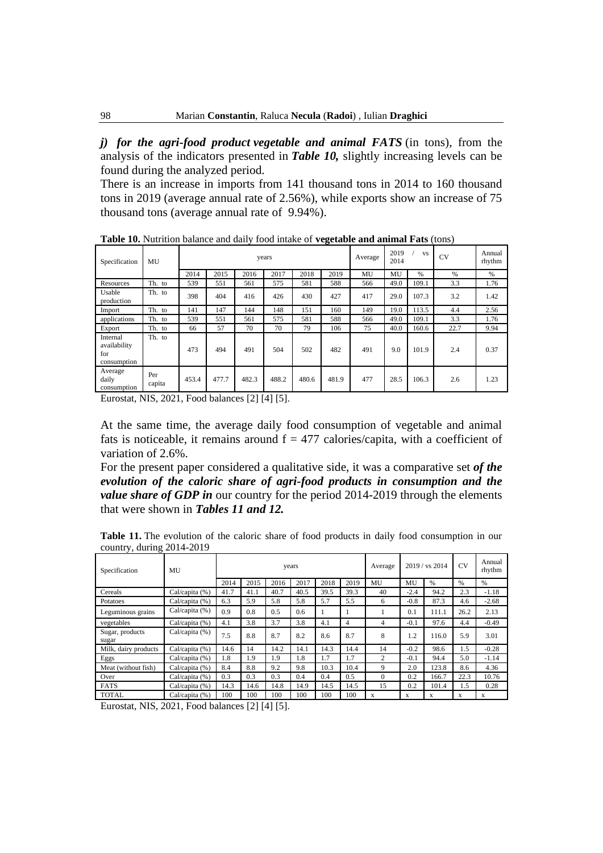*j) for the agri-food product vegetable and animal FATS* (in tons), from the analysis of the indicators presented in *Table 10,* slightly increasing levels can be found during the analyzed period.

There is an increase in imports from 141 thousand tons in 2014 to 160 thousand tons in 2019 (average annual rate of 2.56%), while exports show an increase of 75 thousand tons (average annual rate of 9.94%).

| Specification                                  | MU            |       |       |       | years |       |       | Average | 2019<br>2014 | <b>VS</b> | <b>CV</b> | Annual<br>rhythm |
|------------------------------------------------|---------------|-------|-------|-------|-------|-------|-------|---------|--------------|-----------|-----------|------------------|
|                                                |               | 2014  | 2015  | 2016  | 2017  | 2018  | 2019  | MU      | MU           | %         | $\%$      | $\%$             |
| Resources                                      | Th. to        | 539   | 551   | 561   | 575   | 581   | 588   | 566     | 49.0         | 109.1     | 3.3       | 1.76             |
| Usable<br>production                           | Th. to        | 398   | 404   | 416   | 426   | 430   | 427   | 417     | 29.0         | 107.3     | 3.2       | 1.42             |
| Import                                         | Th. to        | 141   | 147   | 144   | 148   | 151   | 160   | 149     | 19.0         | 113.5     | 4.4       | 2.56             |
| applications                                   | Th. to        | 539   | 551   | 561   | 575   | 581   | 588   | 566     | 49.0         | 109.1     | 3.3       | 1.76             |
| Export                                         | Th. to        | 66    | 57    | 70    | 70    | 79    | 106   | 75      | 40.0         | 160.6     | 22.7      | 9.94             |
| Internal<br>availability<br>for<br>consumption | Th. to        | 473   | 494   | 491   | 504   | 502   | 482   | 491     | 9.0          | 101.9     | 2.4       | 0.37             |
| Average<br>daily<br>consumption                | Per<br>capita | 453.4 | 477.7 | 482.3 | 488.2 | 480.6 | 481.9 | 477     | 28.5         | 106.3     | 2.6       | 1.23             |

**Table 10.** Nutrition balance and daily food intake of **vegetable and animal Fats** (tons)

Eurostat, NIS, 2021, Food balances [2] [4] [5].

At the same time, the average daily food consumption of vegetable and animal fats is noticeable, it remains around  $f = 477$  calories/capita, with a coefficient of variation of 2.6%.

For the present paper considered a qualitative side, it was a comparative set *of the evolution of the caloric share of agri-food products in consumption and the value share of GDP in* our country for the period 2014-2019 through the elements that were shown in *Tables 11 and 12.*

**Table 11.** The evolution of the caloric share of food products in daily food consumption in our country, during 2014-2019

| Specification            | MU             |      |      |      | years |      |      | Average        |        | 2019 / vs 2014 | <b>CV</b> | Annual<br>rhythm |
|--------------------------|----------------|------|------|------|-------|------|------|----------------|--------|----------------|-----------|------------------|
|                          |                | 2014 | 2015 | 2016 | 2017  | 2018 | 2019 | MU             | MU     | $\%$           | $\%$      | $\%$             |
| Cereals                  | Cal/capita (%) | 41.7 | 41.1 | 40.7 | 40.5  | 39.5 | 39.3 | 40             | $-2.4$ | 94.2           | 2.3       | $-1.18$          |
| Potatoes                 | Cal/capita (%) | 6.3  | 5.9  | 5.8  | 5.8   | 5.7  | 5.5  | 6              | $-0.8$ | 87.3           | 4.6       | $-2.68$          |
| Leguminous grains        | Cal/capita (%) | 0.9  | 0.8  | 0.5  | 0.6   |      |      |                | 0.1    | 111.1          | 26.2      | 2.13             |
| vegetables               | Cal/capita (%) | 4.1  | 3.8  | 3.7  | 3.8   | 4.1  | 4    | 4              | $-0.1$ | 97.6           | 4.4       | $-0.49$          |
| Sugar, products<br>sugar | Cal/capita (%) | 7.5  | 8.8  | 8.7  | 8.2   | 8.6  | 8.7  | 8              | 1.2    | 116.0          | 5.9       | 3.01             |
| Milk, dairy products     | Cal/capita (%) | 14.6 | 14   | 14.2 | 14.1  | 14.3 | 14.4 | 14             | $-0.2$ | 98.6           | 1.5       | $-0.28$          |
| Eggs                     | Cal/capita (%) | 1.8  | 1.9  | 1.9  | 1.8   | 1.7  | 1.7  | $\overline{c}$ | $-0.1$ | 94.4           | 5.0       | $-1.14$          |
| Meat (without fish)      | Cal/capita (%) | 8.4  | 8.8  | 9.2  | 9.8   | 10.3 | 10.4 | 9              | 2.0    | 123.8          | 8.6       | 4.36             |
| Over                     | Cal/capita (%) | 0.3  | 0.3  | 0.3  | 0.4   | 0.4  | 0.5  | $\Omega$       | 0.2    | 166.7          | 22.3      | 10.76            |
| <b>FATS</b>              | Cal/capita (%) | 14.3 | 14.6 | 14.8 | 14.9  | 14.5 | 14.5 | 15             | 0.2    | 101.4          | 1.5       | 0.28             |
| <b>TOTAL</b>             | Cal/capita (%) | 100  | 100  | 100  | 100   | 100  | 100  | X              | X      | X              | X         | X                |

Eurostat, NIS, 2021, Food balances [2] [4] [5].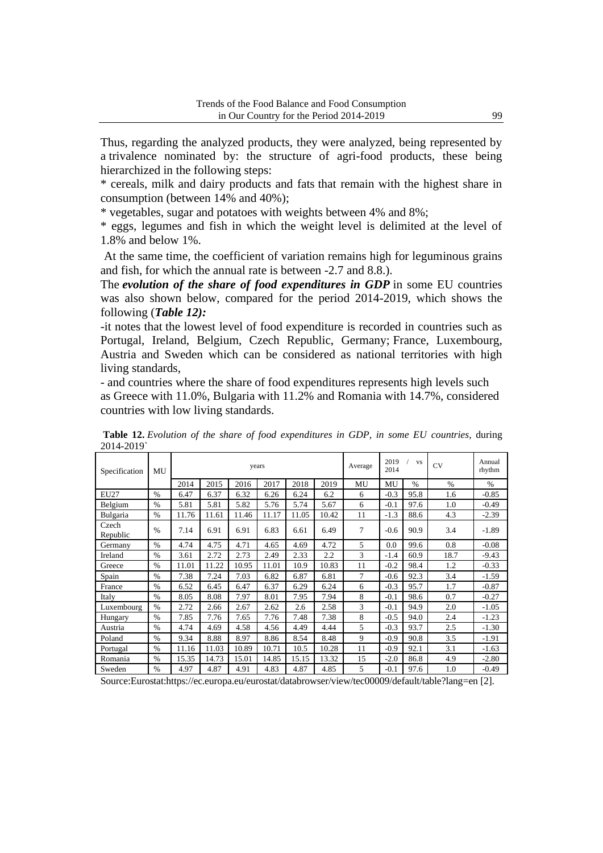Thus, regarding the analyzed products, they were analyzed, being represented by a trivalence nominated by: the structure of agri-food products, these being hierarchized in the following steps:

\* cereals, milk and dairy products and fats that remain with the highest share in consumption (between 14% and 40%);

\* vegetables, sugar and potatoes with weights between 4% and 8%;

\* eggs, legumes and fish in which the weight level is delimited at the level of 1.8% and below 1%.

At the same time, the coefficient of variation remains high for leguminous grains and fish, for which the annual rate is between -2.7 and 8.8.).

The *evolution of the share of food expenditures in GDP* in some EU countries was also shown below, compared for the period 2014-2019, which shows the following (*Table 12):*

-it notes that the lowest level of food expenditure is recorded in countries such as Portugal, Ireland, Belgium, Czech Republic, Germany; France, Luxembourg, Austria and Sweden which can be considered as national territories with high living standards,

- and countries where the share of food expenditures represents high levels such as Greece with 11.0%, Bulgaria with 11.2% and Romania with 14.7%, considered countries with low living standards.

| Specification     | MU            | years |       |       |       |       |       | Average | 2019<br>2014 | <b>VS</b> | <b>CV</b> | Annual<br>rhythm |
|-------------------|---------------|-------|-------|-------|-------|-------|-------|---------|--------------|-----------|-----------|------------------|
|                   |               | 2014  | 2015  | 2016  | 2017  | 2018  | 2019  | MU      | MU           | $\%$      | $\%$      | $\%$             |
| <b>EU27</b>       | $\frac{0}{0}$ | 6.47  | 6.37  | 6.32  | 6.26  | 6.24  | 6.2   | 6       | $-0.3$       | 95.8      | 1.6       | $-0.85$          |
| Belgium           | $\%$          | 5.81  | 5.81  | 5.82  | 5.76  | 5.74  | 5.67  | 6       | $-0.1$       | 97.6      | 1.0       | $-0.49$          |
| Bulgaria          | $\%$          | 11.76 | 11.61 | 11.46 | 11.17 | 11.05 | 10.42 | 11      | $-1.3$       | 88.6      | 4.3       | $-2.39$          |
| Czech<br>Republic | $\%$          | 7.14  | 6.91  | 6.91  | 6.83  | 6.61  | 6.49  | 7       | $-0.6$       | 90.9      | 3.4       | $-1.89$          |
| Germany           | $\%$          | 4.74  | 4.75  | 4.71  | 4.65  | 4.69  | 4.72  | 5       | 0.0          | 99.6      | 0.8       | $-0.08$          |
| Ireland           | $\%$          | 3.61  | 2.72  | 2.73  | 2.49  | 2.33  | 2.2   | 3       | $-1.4$       | 60.9      | 18.7      | $-9.43$          |
| Greece            | $\%$          | 11.01 | 11.22 | 10.95 | 11.01 | 10.9  | 10.83 | 11      | $-0.2$       | 98.4      | 1.2       | $-0.33$          |
| Spain             | $\%$          | 7.38  | 7.24  | 7.03  | 6.82  | 6.87  | 6.81  | 7       | $-0.6$       | 92.3      | 3.4       | $-1.59$          |
| France            | $\%$          | 6.52  | 6.45  | 6.47  | 6.37  | 6.29  | 6.24  | 6       | $-0.3$       | 95.7      | 1.7       | $-0.87$          |
| Italy             | $\%$          | 8.05  | 8.08  | 7.97  | 8.01  | 7.95  | 7.94  | 8       | $-0.1$       | 98.6      | 0.7       | $-0.27$          |
| Luxembourg        | $\frac{0}{0}$ | 2.72  | 2.66  | 2.67  | 2.62  | 2.6   | 2.58  | 3       | $-0.1$       | 94.9      | 2.0       | $-1.05$          |
| Hungary           | $\%$          | 7.85  | 7.76  | 7.65  | 7.76  | 7.48  | 7.38  | 8       | $-0.5$       | 94.0      | 2.4       | $-1.23$          |
| Austria           | $\frac{0}{6}$ | 4.74  | 4.69  | 4.58  | 4.56  | 4.49  | 4.44  | 5       | $-0.3$       | 93.7      | 2.5       | $-1.30$          |
| Poland            | $\%$          | 9.34  | 8.88  | 8.97  | 8.86  | 8.54  | 8.48  | 9       | $-0.9$       | 90.8      | 3.5       | $-1.91$          |
| Portugal          | $\frac{0}{0}$ | 11.16 | 11.03 | 10.89 | 10.71 | 10.5  | 10.28 | 11      | $-0.9$       | 92.1      | 3.1       | $-1.63$          |
| Romania           | $\%$          | 15.35 | 14.73 | 15.01 | 14.85 | 15.15 | 13.32 | 15      | $-2.0$       | 86.8      | 4.9       | $-2.80$          |
| Sweden            | $\%$          | 4.97  | 4.87  | 4.91  | 4.83  | 4.87  | 4.85  | 5       | $-0.1$       | 97.6      | 1.0       | $-0.49$          |

**Table 12.** *Evolution of the share of food expenditures in GDP, in some EU countries,* during 2014-2019`

Source:Eurostat:https://ec.europa.eu/eurostat/databrowser/view/tec00009/default/table?lang=en [2].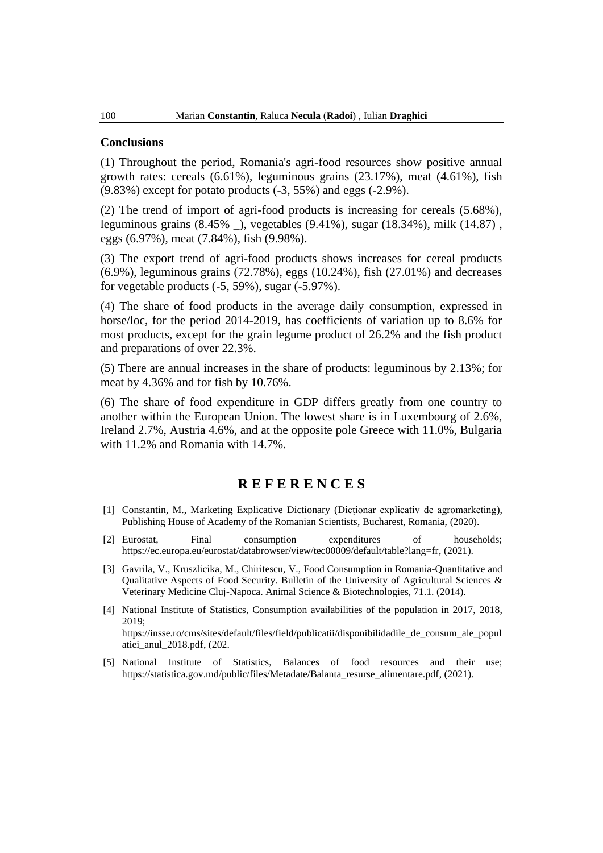#### **Conclusions**

(1) Throughout the period, Romania's agri-food resources show positive annual growth rates: cereals  $(6.61\%)$ , leguminous grains  $(23.17\%)$ , meat  $(4.61\%)$ , fish (9.83%) except for potato products (-3, 55%) and eggs (-2.9%).

(2) The trend of import of agri-food products is increasing for cereals (5.68%), leguminous grains (8.45% \_), vegetables (9.41%), sugar (18.34%), milk (14.87) , eggs (6.97%), meat (7.84%), fish (9.98%).

(3) The export trend of agri-food products shows increases for cereal products (6.9%), leguminous grains (72.78%), eggs (10.24%), fish (27.01%) and decreases for vegetable products (-5, 59%), sugar (-5.97%).

(4) The share of food products in the average daily consumption, expressed in horse/loc, for the period 2014-2019, has coefficients of variation up to 8.6% for most products, except for the grain legume product of 26.2% and the fish product and preparations of over 22.3%.

(5) There are annual increases in the share of products: leguminous by 2.13%; for meat by 4.36% and for fish by 10.76%.

(6) The share of food expenditure in GDP differs greatly from one country to another within the European Union. The lowest share is in Luxembourg of 2.6%, Ireland 2.7%, Austria 4.6%, and at the opposite pole Greece with 11.0%, Bulgaria with 11.2% and Romania with 14.7%.

## **R E F E R E N C E S**

- [1] Constantin, M., Marketing Explicative Dictionary (Dicționar explicativ de agromarketing), Publishing House of Academy of the Romanian Scientists, Bucharest, Romania, (2020).
- [2] Eurostat, Final consumption expenditures of households; [https://ec.europa.eu/eurostat/databrowser/view/tec00009/default/table?lang=fr,](https://ec.europa.eu/eurostat/databrowser/view/tec00009/default/table?lang=fr) (2021).
- [3] Gavrila, V., Kruszlicika, M., Chiritescu, V., Food Consumption in Romania-Quantitative and Qualitative Aspects of Food Security. Bulletin of the University of Agricultural Sciences & Veterinary Medicine Cluj-Napoca. Animal Science & Biotechnologies, 71.1. (2014).
- [4] National Institute of Statistics, Consumption availabilities of the population in 2017, 2018, 2019; [https://insse.ro/cms/sites/default/files/field/publicatii/disponibilidadile\\_de\\_consum\\_ale\\_popul](https://insse.ro/cms/sites/default/files/field/publicatii/disponibilidadile_de_consum_ale_populatiei_anul_2018.pdf) [atiei\\_anul\\_2018.pdf,](https://insse.ro/cms/sites/default/files/field/publicatii/disponibilidadile_de_consum_ale_populatiei_anul_2018.pdf) (202.
- [5] National Institute of Statistics, Balances of food resources and their use; [https://statistica.gov.md/public/files/Metadate/Balanta\\_resurse\\_alimentare.pdf,](https://statistica.gov.md/public/files/Metadate/Balanta_resurse_alimentare.pdf) (2021).